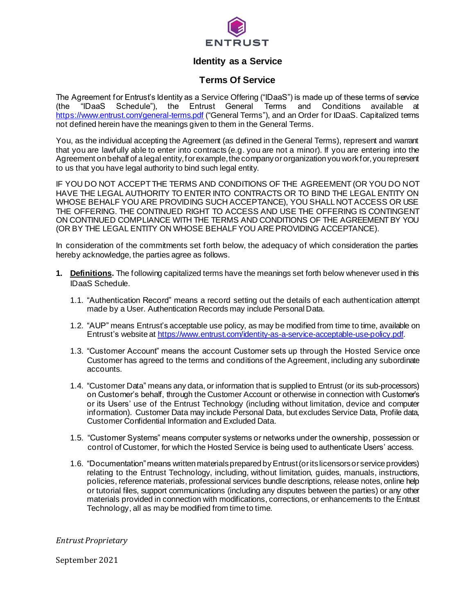

# **Identity as a Service**

# **Terms Of Service**

The Agreement for Entrust's Identity as a Service Offering ("IDaaS") is made up of these terms of service (the "IDaaS Schedule"), the Entrust General Terms and Conditions available at <https://www.entrust.com/general-terms.pdf> ("General Terms"), and an Order for IDaaS. Capitalized terms not defined herein have the meanings given to them in the General Terms.

You, as the individual accepting the Agreement (as defined in the General Terms), represent and warrant that you are lawfully able to enter into contracts (e.g. you are not a minor). If you are entering into the Agreement on behalf of a legal entity, for example, the company or organization you work for, you represent to us that you have legal authority to bind such legal entity.

IF YOU DO NOT ACCEPT THE TERMS AND CONDITIONS OF THE AGREEMENT (OR YOU DO NOT HAVE THE LEGAL AUTHORITY TO ENTER INTO CONTRACTS OR TO BIND THE LEGAL ENTITY ON WHOSE BEHALF YOU ARE PROVIDING SUCH ACCEPTANCE), YOU SHALL NOT ACCESS OR USE THE OFFERING. THE CONTINUED RIGHT TO ACCESS AND USE THE OFFERING IS CONTINGENT ON CONTINUED COMPLIANCE WITH THE TERMS AND CONDITIONS OF THE AGREEMENT BY YOU (OR BY THE LEGAL ENTITY ON WHOSE BEHALF YOU ARE PROVIDING ACCEPTANCE).

In consideration of the commitments set forth below, the adequacy of which consideration the parties hereby acknowledge, the parties agree as follows.

- **1. Definitions.** The following capitalized terms have the meanings set forth below whenever used in this IDaaS Schedule.
	- 1.1. "Authentication Record" means a record setting out the details of each authentication attempt made by a User. Authentication Records may include Personal Data.
	- 1.2. "AUP" means Entrust's acceptable use policy, as may be modified from time to time, available on Entrust's website at <https://www.entrust.com/identity-as-a-service-acceptable-use-policy.pdf>.
	- 1.3. "Customer Account" means the account Customer sets up through the Hosted Service once Customer has agreed to the terms and conditions of the Agreement, including any subordinate accounts.
	- 1.4. "Customer Data" means any data, or information that is supplied to Entrust (or its sub-processors) on Customer's behalf, through the Customer Account or otherwise in connection with Customer's or its Users' use of the Entrust Technology (including without limitation, device and computer information). Customer Data may include Personal Data, but excludes Service Data, Profile data, Customer Confidential Information and Excluded Data.
	- 1.5. "Customer Systems" means computer systems or networks under the ownership, possession or control of Customer, for which the Hosted Service is being used to authenticate Users' access.
	- 1.6. "Documentation" means written materials prepared by Entrust (or its licensors or service providers) relating to the Entrust Technology, including, without limitation, guides, manuals, instructions, policies, reference materials, professional services bundle descriptions, release notes, online help or tutorial files, support communications (including any disputes between the parties) or any other materials provided in connection with modifications, corrections, or enhancements to the Entrust Technology, all as may be modified from time to time.

*Entrust Proprietary*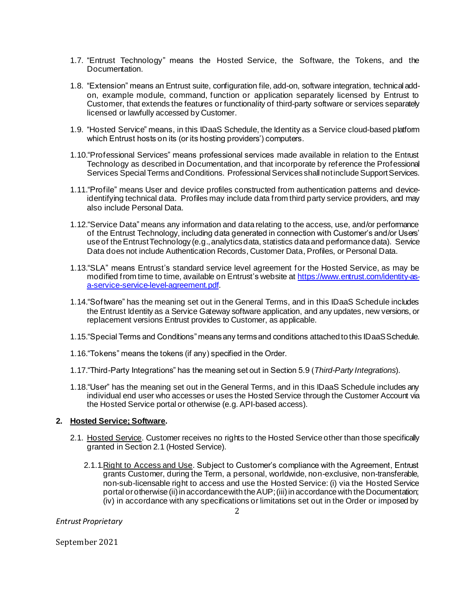- 1.7. "Entrust Technology" means the Hosted Service, the Software, the Tokens, and the Documentation.
- 1.8. "Extension" means an Entrust suite, configuration file, add-on, software integration, technical addon, example module, command, function or application separately licensed by Entrust to Customer, that extends the features or functionality of third-party software or services separately licensed or lawfully accessed by Customer.
- 1.9. "Hosted Service" means, in this IDaaS Schedule, the Identity as a Service cloud-based platform which Entrust hosts on its (or its hosting providers') computers.
- 1.10."Professional Services" means professional services made available in relation to the Entrust Technology as described in Documentation, and that incorporate by reference the Professional Services Special Terms and Conditions. Professional Services shall not include Support Services.
- 1.11."Profile" means User and device profiles constructed from authentication patterns and deviceidentifying technical data. Profiles may include data from third party service providers, and may also include Personal Data.
- 1.12."Service Data" means any information and data relating to the access, use, and/or performance of the Entrust Technology, including data generated in connection with Customer's and/or Users' use of the Entrust Technology (e.g., analytics data, statistics data and performance data). Service Data does not include Authentication Records, Customer Data, Profiles, or Personal Data.
- 1.13."SLA" means Entrust's standard service level agreement for the Hosted Service, as may be modified from time to time, available on Entrust's website at [https://www.entrust.com/identity-as](https://www.entrust.com/identity-as-a-service-service-level-agreement.pdf)[a-service-service-level-agreement.pdf](https://www.entrust.com/identity-as-a-service-service-level-agreement.pdf).
- 1.14."Software" has the meaning set out in the General Terms, and in this IDaaS Schedule includes the Entrust Identity as a Service Gateway software application, and any updates, new versions, or replacement versions Entrust provides to Customer, as applicable.
- 1.15."Special Terms and Conditions" means any terms and conditions attached to this IDaaS Schedule.
- 1.16."Tokens" means the tokens (if any) specified in the Order.
- 1.17."Third-Party Integrations" has the meaning set out in Section 5.9 (*Third-Party Integrations*).
- 1.18."User" has the meaning set out in the General Terms, and in this IDaaS Schedule includes any individual end user who accesses or uses the Hosted Service through the Customer Account via the Hosted Service portal or otherwise (e.g. API-based access).

### **2. Hosted Service; Software.**

- 2.1. Hosted Service. Customer receives no rights to the Hosted Service other than those specifically granted in Section 2.1 (Hosted Service).
	- 2.1.1.Right to Access and Use. Subject to Customer's compliance with the Agreement, Entrust grants Customer, during the Term, a personal, worldwide, non-exclusive, non-transferable, non-sub-licensable right to access and use the Hosted Service: (i) via the Hosted Service portal or otherwise (ii) in accordance with the AUP; (iii) in accordance with the Documentation; (iv) in accordance with any specifications or limitations set out in the Order or imposed by

*Entrust Proprietary*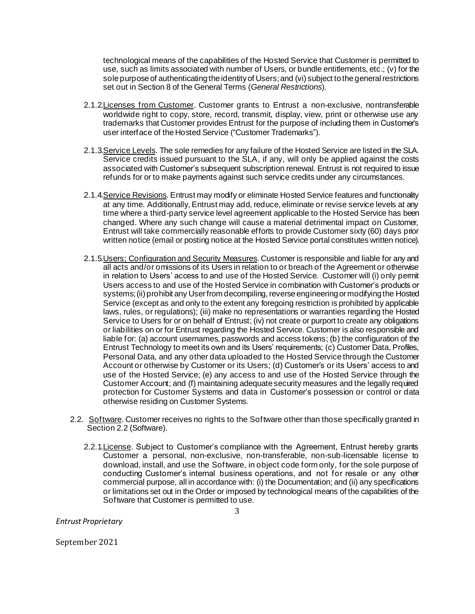technological means of the capabilities of the Hosted Service that Customer is permitted to use, such as limits associated with number of Users, or bundle entitlements, etc.; (v) for the sole purpose of authenticating the identity of Users; and (vi) subject to the general restrictions set out in Section 8 of the General Terms (*General Restrictions*).

- 2.1.2.Licenses from Customer. Customer grants to Entrust a non-exclusive, nontransferable worldwide right to copy, store, record, transmit, display, view, print or otherwise use any trademarks that Customer provides Entrust for the purpose of including them in Customer's user interface of the Hosted Service ("Customer Trademarks").
- 2.1.3.Service Levels. The sole remedies for any failure of the Hosted Service are listed in the SLA. Service credits issued pursuant to the SLA, if any, will only be applied against the costs associated with Customer's subsequent subscription renewal. Entrust is not required to issue refunds for or to make payments against such service credits under any circumstances.
- 2.1.4.Service Revisions. Entrust may modify or eliminate Hosted Service features and functionality at any time. Additionally, Entrust may add, reduce, eliminate or revise service levels at any time where a third-party service level agreement applicable to the Hosted Service has been changed. Where any such change will cause a material detrimental impact on Customer, Entrust will take commercially reasonable efforts to provide Customer sixty (60) days prior written notice (email or posting notice at the Hosted Service portal constitutes written notice).
- 2.1.5. Users; Configuration and Security Measures. Customer is responsible and liable for any and all acts and/or omissions of its Users in relation to or breach of the Agreement or otherwise in relation to Users' access to and use of the Hosted Service. Customer will (i) only permit Users access to and use of the Hosted Service in combination with Customer's products or systems; (ii) prohibit any User from decompiling, reverse engineering or modifying the Hosted Service (except as and only to the extent any foregoing restriction is prohibited by applicable laws, rules, or regulations); (iii) make no representations or warranties regarding the Hosted Service to Users for or on behalf of Entrust; (iv) not create or purport to create any obligations or liabilities on or for Entrust regarding the Hosted Service. Customer is also responsible and liable for: (a) account usernames, passwords and access tokens; (b) the configuration of the Entrust Technology to meet its own and its Users' requirements; (c) Customer Data, Profiles, Personal Data, and any other data uploaded to the Hosted Service through the Customer Account or otherwise by Customer or its Users; (d) Customer's or its Users' access to and use of the Hosted Service; (e) any access to and use of the Hosted Service through the Customer Account; and (f) maintaining adequate security measures and the legally required protection for Customer Systems and data in Customer's possession or control or data otherwise residing on Customer Systems.
- 2.2. Software. Customer receives no rights to the Software other than those specifically granted in Section 2.2 (Software).
	- 2.2.1. License. Subject to Customer's compliance with the Agreement, Entrust hereby grants Customer a personal, non-exclusive, non-transferable, non-sub-licensable license to download, install, and use the Software, in object code form only, for the sole purpose of conducting Customer's internal business operations, and not for resale or any other commercial purpose, all in accordance with: (i) the Documentation; and (ii) any specifications or limitations set out in the Order or imposed by technological means of the capabilities of the Software that Customer is permitted to use.

*Entrust Proprietary*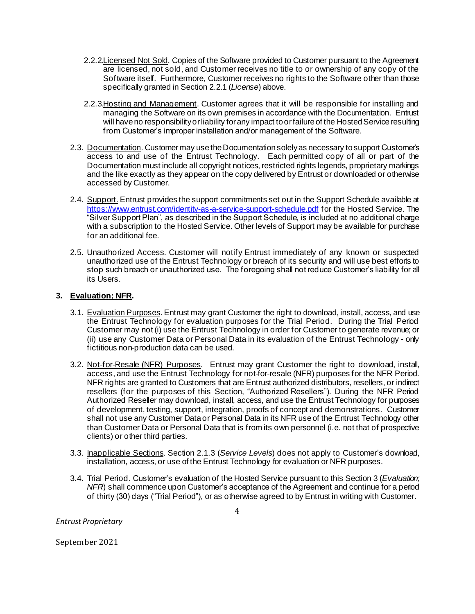- 2.2.2. Licensed Not Sold. Copies of the Software provided to Customer pursuant to the Agreement are licensed, not sold, and Customer receives no title to or ownership of any copy of the Software itself. Furthermore, Customer receives no rights to the Software other than those specifically granted in Section 2.2.1 (*License*) above.
- 2.2.3.Hosting and Management. Customer agrees that it will be responsible for installing and managing the Software on its own premises in accordance with the Documentation. Entrust will have no responsibility or liability for any impact to or failure of the Hosted Service resulting from Customer's improper installation and/or management of the Software.
- 2.3. Documentation. Customer may use the Documentation solely as necessary to support Customer's access to and use of the Entrust Technology. Each permitted copy of all or part of the Documentation must include all copyright notices, restricted rights legends, proprietary markings and the like exactly as they appear on the copy delivered by Entrust or downloaded or otherwise accessed by Customer.
- 2.4. Support. Entrust provides the support commitments set out in the Support Schedule available at <https://www.entrust.com/identity-as-a-service-support-schedule.pdf> for the Hosted Service. The "Silver Support Plan", as described in the Support Schedule, is included at no additional charge with a subscription to the Hosted Service. Other levels of Support may be available for purchase for an additional fee.
- 2.5. Unauthorized Access. Customer will notify Entrust immediately of any known or suspected unauthorized use of the Entrust Technology or breach of its security and will use best efforts to stop such breach or unauthorized use. The foregoing shall not reduce Customer's liability for all its Users.

### **3. Evaluation; NFR.**

- 3.1. Evaluation Purposes. Entrust may grant Customer the right to download, install, access, and use the Entrust Technology for evaluation purposes for the Trial Period. During the Trial Period Customer may not (i) use the Entrust Technology in order for Customer to generate revenue; or (ii) use any Customer Data or Personal Data in its evaluation of the Entrust Technology - only fictitious non-production data can be used.
- 3.2. Not-for-Resale (NFR) Purposes. Entrust may grant Customer the right to download, install, access, and use the Entrust Technology for not-for-resale (NFR) purposes for the NFR Period. NFR rights are granted to Customers that are Entrust authorized distributors, resellers, or indirect resellers (for the purposes of this Section, "Authorized Resellers"). During the NFR Period Authorized Reseller may download, install, access, and use the Entrust Technology for purposes of development, testing, support, integration, proofs of concept and demonstrations. Customer shall not use any Customer Data or Personal Data in its NFR use of the Entrust Technology other than Customer Data or Personal Data that is from its own personnel (i.e. not that of prospective clients) or other third parties.
- 3.3. Inapplicable Sections. Section 2.1.3 (*Service Levels*) does not apply to Customer's download, installation, access, or use of the Entrust Technology for evaluation or NFR purposes.
- 3.4. Trial Period. Customer's evaluation of the Hosted Service pursuant to this Section 3 (*Evaluation; NFR*) shall commence upon Customer's acceptance of the Agreement and continue for a period of thirty (30) days ("Trial Period"), or as otherwise agreed to by Entrust in writing with Customer.

*Entrust Proprietary*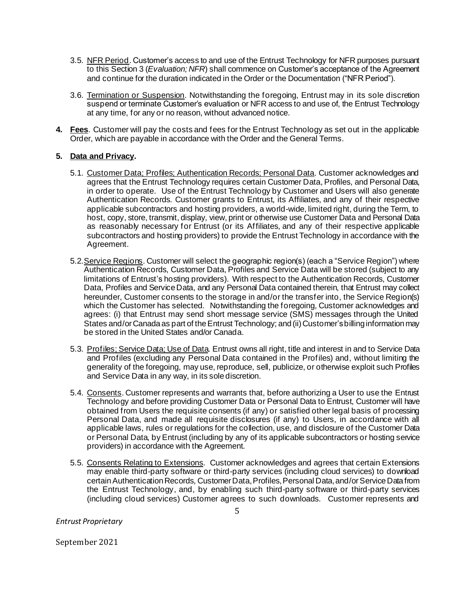- 3.5. NFR Period. Customer's access to and use of the Entrust Technology for NFR purposes pursuant to this Section 3 (*Evaluation; NFR*) shall commence on Customer's acceptance of the Agreement and continue for the duration indicated in the Order or the Documentation ("NFR Period").
- 3.6. Termination or Suspension. Notwithstanding the foregoing, Entrust may in its sole discretion suspend or terminate Customer's evaluation or NFR access to and use of, the Entrust Technology at any time, for any or no reason, without advanced notice.
- **4. Fees**. Customer will pay the costs and fees for the Entrust Technology as set out in the applicable Order, which are payable in accordance with the Order and the General Terms.

### **5. Data and Privacy.**

- 5.1. Customer Data; Profiles; Authentication Records; Personal Data. Customer acknowledges and agrees that the Entrust Technology requires certain Customer Data, Profiles, and Personal Data, in order to operate. Use of the Entrust Technology by Customer and Users will also generate Authentication Records. Customer grants to Entrust, its Affiliates, and any of their respective applicable subcontractors and hosting providers, a world-wide, limited right, during the Term, to host, copy, store, transmit, display, view, print or otherwise use Customer Data and Personal Data as reasonably necessary for Entrust (or its Affiliates, and any of their respective applicable subcontractors and hosting providers) to provide the Entrust Technology in accordance with the Agreement.
- 5.2.Service Regions. Customer will select the geographic region(s) (each a "Service Region") where Authentication Records, Customer Data, Profiles and Service Data will be stored (subject to any limitations of Entrust's hosting providers). With respect to the Authentication Records, Customer Data, Profiles and Service Data, and any Personal Data contained therein, that Entrust may collect hereunder, Customer consents to the storage in and/or the transfer into, the Service Region(s) which the Customer has selected. Notwithstanding the foregoing, Customer acknowledges and agrees: (i) that Entrust may send short message service (SMS) messages through the United States and/or Canada as part of the Entrust Technology; and (ii) Customer'sbilling information may be stored in the United States and/or Canada.
- 5.3. Profiles; Service Data; Use of Data. Entrust owns all right, title and interest in and to Service Data and Profiles (excluding any Personal Data contained in the Profiles) and, without limiting the generality of the foregoing, may use, reproduce, sell, publicize, or otherwise exploit such Profiles and Service Data in any way, in its sole discretion.
- 5.4. Consents. Customer represents and warrants that, before authorizing a User to use the Entrust Technology and before providing Customer Data or Personal Data to Entrust, Customer will have obtained from Users the requisite consents (if any) or satisfied other legal basis of processing Personal Data, and made all requisite disclosures (if any) to Users, in accordance with all applicable laws, rules or regulations for the collection, use, and disclosure of the Customer Data or Personal Data, by Entrust (including by any of its applicable subcontractors or hosting service providers) in accordance with the Agreement.
- 5.5. Consents Relating to Extensions. Customer acknowledges and agrees that certain Extensions may enable third-party software or third-party services (including cloud services) to download certain Authentication Records, Customer Data, Profiles,Personal Data,and/or Service Data from the Entrust Technology, and, by enabling such third-party software or third-party services (including cloud services) Customer agrees to such downloads. Customer represents and

*Entrust Proprietary*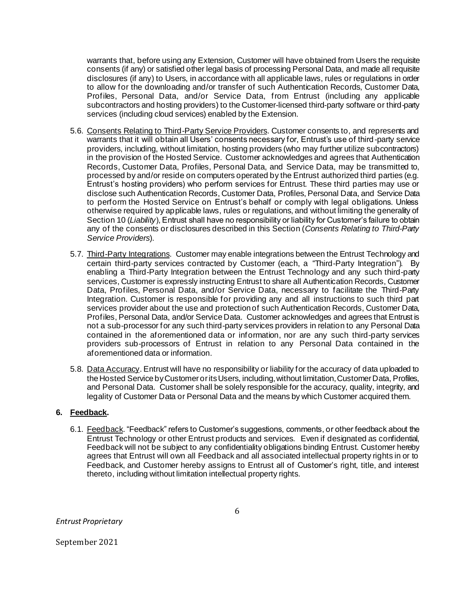warrants that, before using any Extension, Customer will have obtained from Users the requisite consents (if any) or satisfied other legal basis of processing Personal Data, and made all requisite disclosures (if any) to Users, in accordance with all applicable laws, rules or regulations in order to allow for the downloading and/or transfer of such Authentication Records, Customer Data, Profiles, Personal Data, and/or Service Data, from Entrust (including any applicable subcontractors and hosting providers) to the Customer-licensed third-party software or third-party services (including cloud services) enabled by the Extension.

- 5.6. Consents Relating to Third-Party Service Providers. Customer consents to, and represents and warrants that it will obtain all Users' consents necessary for, Entrust's use of third-party service providers, including, without limitation, hosting providers (who may further utilize subcontractors) in the provision of the Hosted Service. Customer acknowledges and agrees that Authentication Records, Customer Data, Profiles, Personal Data, and Service Data, may be transmitted to, processed by and/or reside on computers operated by the Entrust authorized third parties (e.g. Entrust's hosting providers) who perform services for Entrust. These third parties may use or disclose such Authentication Records, Customer Data, Profiles, Personal Data, and Service Data to perform the Hosted Service on Entrust's behalf or comply with legal obligations. Unless otherwise required by applicable laws, rules or regulations, and without limiting the generality of Section 10 (*Liability*), Entrust shall have no responsibility or liability for Customer's failure to obtain any of the consents or disclosures described in this Section (*Consents Relating to Third-Party Service Providers*).
- 5.7. Third-Party Integrations. Customer may enable integrations between the Entrust Technology and certain third-party services contracted by Customer (each, a "Third-Party Integration"). By enabling a Third-Party Integration between the Entrust Technology and any such third-party services, Customer is expressly instructing Entrust to share all Authentication Records, Customer Data, Profiles, Personal Data, and/or Service Data, necessary to facilitate the Third-Party Integration. Customer is responsible for providing any and all instructions to such third part services provider about the use and protection of such Authentication Records, Customer Data, Profiles, Personal Data, and/or Service Data. Customer acknowledges and agrees that Entrust is not a sub-processor for any such third-party services providers in relation to any Personal Data contained in the aforementioned data or information, nor are any such third-party services providers sub-processors of Entrust in relation to any Personal Data contained in the aforementioned data or information.
- 5.8. Data Accuracy. Entrust will have no responsibility or liability for the accuracy of data uploaded to the Hosted Service by Customer or its Users, including, without limitation, Customer Data, Profiles, and Personal Data. Customer shall be solely responsible for the accuracy, quality, integrity, and legality of Customer Data or Personal Data and the means by which Customer acquired them.

#### **6. Feedback.**

6.1. Feedback. "Feedback" refers to Customer's suggestions, comments, or other feedback about the Entrust Technology or other Entrust products and services. Even if designated as confidential, Feedback will not be subject to any confidentiality obligations binding Entrust. Customer hereby agrees that Entrust will own all Feedback and all associated intellectual property rights in or to Feedback, and Customer hereby assigns to Entrust all of Customer's right, title, and interest thereto, including without limitation intellectual property rights.

*Entrust Proprietary*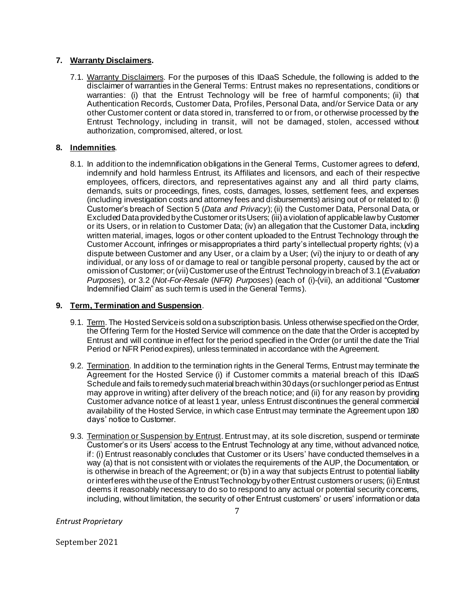### **7. Warranty Disclaimers.**

7.1. Warranty Disclaimers. For the purposes of this IDaaS Schedule, the following is added to the disclaimer of warranties in the General Terms: Entrust makes no representations, conditions or warranties: (i) that the Entrust Technology will be free of harmful components; (ii) that Authentication Records, Customer Data, Profiles, Personal Data, and/or Service Data or any other Customer content or data stored in, transferred to or from, or otherwise processed by the Entrust Technology, including in transit, will not be damaged, stolen, accessed without authorization, compromised, altered, or lost.

### **8. Indemnities**.

8.1. In addition to the indemnification obligations in the General Terms, Customer agrees to defend, indemnify and hold harmless Entrust, its Affiliates and licensors, and each of their respective employees, officers, directors, and representatives against any and all third party claims, demands, suits or proceedings, fines, costs, damages, losses, settlement fees, and expenses (including investigation costs and attorney fees and disbursements) arising out of or related to: (i) Customer's breach of Section 5 (*Data and Privacy*); (ii) the Customer Data, Personal Data, or Excluded Data provided by the Customer or its Users; (iii) a violation of applicable law by Customer or its Users, or in relation to Customer Data; (iv) an allegation that the Customer Data, including written material, images, logos or other content uploaded to the Entrust Technology through the Customer Account, infringes or misappropriates a third party's intellectual property rights; (v) a dispute between Customer and any User, or a claim by a User; (vi) the injury to or death of any individual, or any loss of or damage to real or tangible personal property, caused by the act or omission of Customer; or (vii) Customeruse of the Entrust Technology in breach of 3.1 (*Evaluation Purposes*), or 3.2 (*Not-For-Resale* (*NFR) Purposes*) (each of (i)-(vii), an additional "Customer Indemnified Claim" as such term is used in the General Terms).

#### **9. Term, Termination and Suspension**.

- 9.1. Term. The Hosted Service is sold on a subscription basis. Unless otherwise specified on the Order, the Offering Term for the Hosted Service will commence on the date that the Order is accepted by Entrust and will continue in effect for the period specified in the Order (or until the date the Trial Period or NFR Period expires), unless terminated in accordance with the Agreement.
- 9.2. Termination. In addition to the termination rights in the General Terms, Entrust may terminate the Agreement for the Hosted Service (i) if Customer commits a material breach of this IDaaS Schedule and fails to remedy such material breach within 30 days (or such longer period as Entrust may approve in writing) after delivery of the breach notice; and (ii) for any reason by providing Customer advance notice of at least 1 year, unless Entrust discontinues the general commercial availability of the Hosted Service, in which case Entrust may terminate the Agreement upon 180 days' notice to Customer.
- 9.3. Termination or Suspension by Entrust. Entrust may, at its sole discretion, suspend or terminate Customer's or its Users' access to the Entrust Technology at any time, without advanced notice, if: (i) Entrust reasonably concludes that Customer or its Users' have conducted themselves in a way (a) that is not consistent with or violates the requirements of the AUP, the Documentation, or is otherwise in breach of the Agreement; or (b) in a way that subjects Entrust to potential liability or interferes with the use of the Entrust Technologyby other Entrust customers or users; (ii) Entrust deems it reasonably necessary to do so to respond to any actual or potential security concems, including, without limitation, the security of other Entrust customers' or users' information or data

*Entrust Proprietary*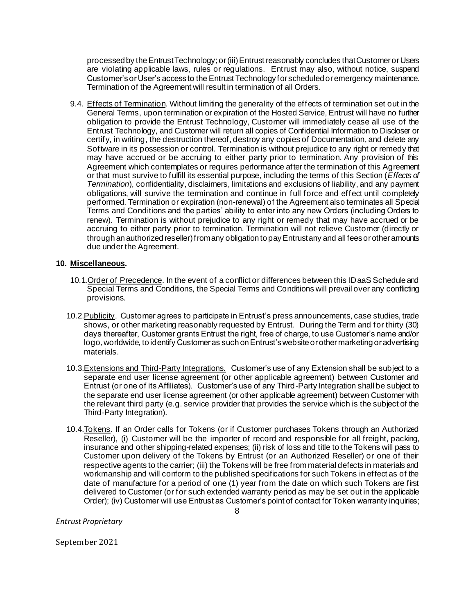processed by the Entrust Technology; or (iii) Entrust reasonably concludes that Customer or Users are violating applicable laws, rules or regulations. Entrust may also, without notice, suspend Customer's or User's access to the Entrust Technology for scheduled or emergency maintenance. Termination of the Agreement will result in termination of all Orders.

9.4. Effects of Termination. Without limiting the generality of the effects of termination set out in the General Terms, upon termination or expiration of the Hosted Service, Entrust will have no further obligation to provide the Entrust Technology, Customer will immediately cease all use of the Entrust Technology, and Customer will return all copies of Confidential Information to Discloser or certify, in writing, the destruction thereof, destroy any copies of Documentation, and delete any Software in its possession or control. Termination is without prejudice to any right or remedy that may have accrued or be accruing to either party prior to termination. Any provision of this Agreement which contemplates or requires performance after the termination of this Agreement or that must survive to fulfill its essential purpose, including the terms of this Section (*Effects of Termination*), confidentiality, disclaimers, limitations and exclusions of liability, and any payment obligations, will survive the termination and continue in full force and effect until completely performed. Termination or expiration (non-renewal) of the Agreement also terminates all Special Terms and Conditions and the parties' ability to enter into any new Orders (including Orders to renew). Termination is without prejudice to any right or remedy that may have accrued or be accruing to either party prior to termination. Termination will not relieve Customer (directly or through an authorized reseller) from any obligation to pay Entrust any and all fees or other amounts due under the Agreement.

### **10. Miscellaneous.**

- 10.1.Order of Precedence. In the event of a conflict or differences between this IDaaS Schedule and Special Terms and Conditions, the Special Terms and Conditions will prevail over any conflicting provisions.
- 10.2. Publicity. Customer agrees to participate in Entrust's press announcements, case studies, trade shows, or other marketing reasonably requested by Entrust. During the Term and for thirty (30) days thereafter, Customer grants Entrust the right, free of charge, to use Customer's name and/or logo, worldwide, to identify Customer as such on Entrust's website or other marketing or advertising materials.
- 10.3. Extensions and Third-Party Integrations. Customer's use of any Extension shall be subject to a separate end user license agreement (or other applicable agreement) between Customer and Entrust (or one of its Affiliates). Customer's use of any Third-Party Integration shall be subject to the separate end user license agreement (or other applicable agreement) between Customer with the relevant third party (e.g. service provider that provides the service which is the subject of the Third-Party Integration).
- 10.4.Tokens. If an Order calls for Tokens (or if Customer purchases Tokens through an Authorized Reseller), (i) Customer will be the importer of record and responsible for all freight, packing, insurance and other shipping-related expenses; (ii) risk of loss and title to the Tokens will pass to Customer upon delivery of the Tokens by Entrust (or an Authorized Reseller) or one of their respective agents to the carrier; (iii) the Tokens will be free from material defects in materials and workmanship and will conform to the published specifications for such Tokens in effect as of the date of manufacture for a period of one (1) year from the date on which such Tokens are first delivered to Customer (or for such extended warranty period as may be set out in the applicable Order); (iv) Customer will use Entrust as Customer's point of contact for Token warranty inquiries;

*Entrust Proprietary*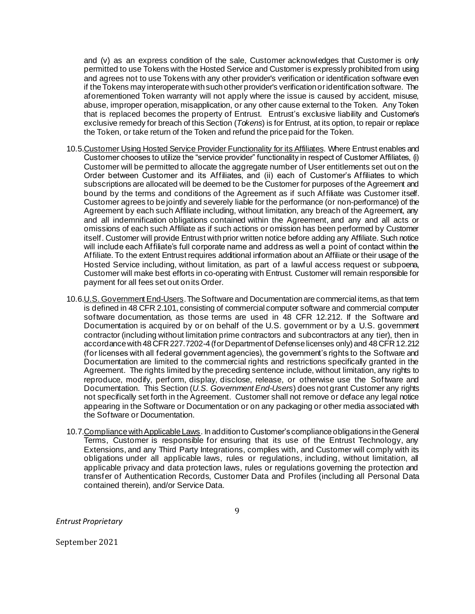and (v) as an express condition of the sale, Customer acknowledges that Customer is only permitted to use Tokens with the Hosted Service and Customer is expressly prohibited from using and agrees not to use Tokens with any other provider's verification or identification software even if the Tokens may interoperate with such other provider's verification or identification software. The aforementioned Token warranty will not apply where the issue is caused by accident, misuse, abuse, improper operation, misapplication, or any other cause external to the Token. Any Token that is replaced becomes the property of Entrust. Entrust's exclusive liability and Customer's exclusive remedy for breach of this Section (*Tokens*) is for Entrust, at its option, to repair or replace the Token, or take return of the Token and refund the price paid for the Token.

- 10.5.Customer Using Hosted Service Provider Functionality for its Affiliates. Where Entrust enables and Customer chooses to utilize the "service provider" functionality in respect of Customer Affiliates, (i) Customer will be permitted to allocate the aggregate number of User entitlements set out on the Order between Customer and its Affiliates, and (ii) each of Customer's Affiliates to which subscriptions are allocated will be deemed to be the Customer for purposes of the Agreement and bound by the terms and conditions of the Agreement as if such Affiliate was Customer itself. Customer agrees to be jointly and severely liable for the performance (or non-performance) of the Agreement by each such Affiliate including, without limitation, any breach of the Agreement, any and all indemnification obligations contained within the Agreement, and any and all acts or omissions of each such Affiliate as if such actions or omission has been performed by Customer itself. Customer will provide Entrust with prior written notice before adding any Affiliate. Such notice will include each Affiliate's full corporate name and address as well a point of contact within the Affiliate. To the extent Entrust requires additional information about an Affiliate or their usage of the Hosted Service including, without limitation, as part of a lawful access request or subpoena, Customer will make best efforts in co-operating with Entrust. Customer will remain responsible for payment for all fees set out on its Order.
- 10.6.U.S. Government End-Users. The Software and Documentation are commercial items, as that term is defined in 48 CFR 2.101, consisting of commercial computer software and commercial computer software documentation, as those terms are used in 48 CFR 12.212. If the Software and Documentation is acquired by or on behalf of the U.S. government or by a U.S. government contractor (including without limitation prime contractors and subcontractors at any tier), then in accordance with 48 CFR 227.7202-4 (for Department of Defense licenses only) and 48 CFR 12.212 (for licenses with all federal government agencies), the government's rights to the Software and Documentation are limited to the commercial rights and restrictions specifically granted in the Agreement. The rights limited by the preceding sentence include, without limitation, any rights to reproduce, modify, perform, display, disclose, release, or otherwise use the Software and Documentation. This Section (*U.S. Government End-Users*) does not grant Customer any rights not specifically set forth in the Agreement. Customer shall not remove or deface any legal notice appearing in the Software or Documentation or on any packaging or other media associated with the Software or Documentation.
- 10.7.Compliance with Applicable Laws. In addition to Customer's compliance obligations in the General Terms, Customer is responsible for ensuring that its use of the Entrust Technology, any Extensions, and any Third Party Integrations, complies with, and Customer will comply with its obligations under all applicable laws, rules or regulations, including, without limitation, all applicable privacy and data protection laws, rules or regulations governing the protection and transfer of Authentication Records, Customer Data and Profiles (including all Personal Data contained therein), and/or Service Data.

*Entrust Proprietary*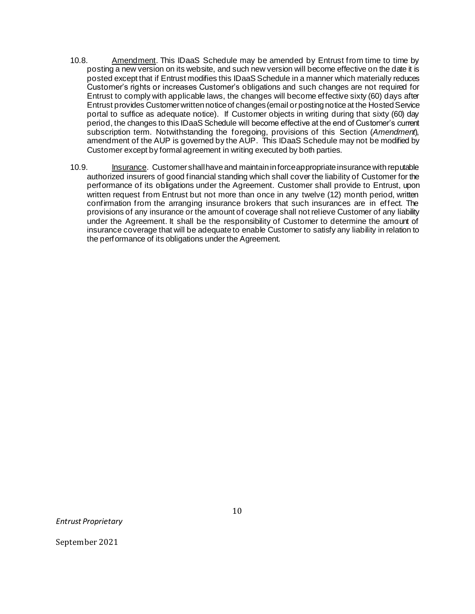- 10.8. Amendment. This IDaaS Schedule may be amended by Entrust from time to time by posting a new version on its website, and such new version will become effective on the date it is posted except that if Entrust modifies this IDaaS Schedule in a manner which materially reduces Customer's rights or increases Customer's obligations and such changes are not required for Entrust to comply with applicable laws, the changes will become effective sixty (60) days after Entrust provides Customer written notice of changes (email or posting notice at the Hosted Service portal to suffice as adequate notice). If Customer objects in writing during that sixty (60) day period, the changes to this IDaaS Schedule will become effective at the end of Customer's current subscription term. Notwithstanding the foregoing, provisions of this Section (*Amendment*), amendment of the AUP is governed by the AUP. This IDaaS Schedule may not be modified by Customer except by formal agreement in writing executed by both parties.
- 10.9. Insurance. Customer shall have and maintain in force appropriate insurance with reputable authorized insurers of good financial standing which shall cover the liability of Customer for the performance of its obligations under the Agreement. Customer shall provide to Entrust, upon written request from Entrust but not more than once in any twelve (12) month period, written confirmation from the arranging insurance brokers that such insurances are in effect. The provisions of any insurance or the amount of coverage shall not relieve Customer of any liability under the Agreement. It shall be the responsibility of Customer to determine the amount of insurance coverage that will be adequate to enable Customer to satisfy any liability in relation to the performance of its obligations under the Agreement.

*Entrust Proprietary*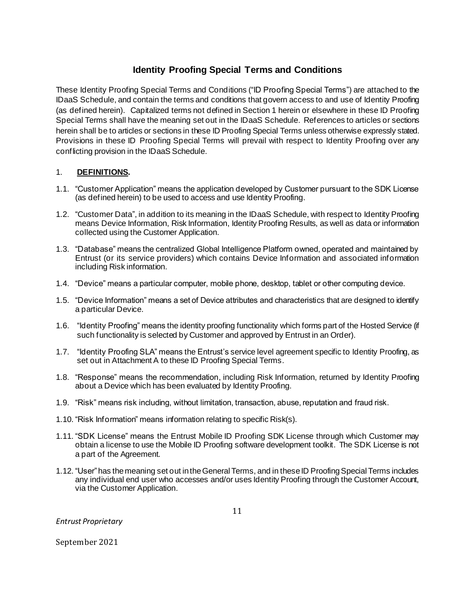# **Identity Proofing Special Terms and Conditions**

These Identity Proofing Special Terms and Conditions ("ID Proofing Special Terms") are attached to the IDaaS Schedule, and contain the terms and conditions that govern access to and use of Identity Proofing (as defined herein). Capitalized terms not defined in Section 1 herein or elsewhere in these ID Proofing Special Terms shall have the meaning set out in the IDaaS Schedule. References to articles or sections herein shall be to articles or sections in these ID Proofing Special Terms unless otherwise expressly stated. Provisions in these ID Proofing Special Terms will prevail with respect to Identity Proofing over any conflicting provision in the IDaaS Schedule.

# 1. **DEFINITIONS.**

- 1.1. "Customer Application" means the application developed by Customer pursuant to the SDK License (as defined herein) to be used to access and use Identity Proofing.
- 1.2. "Customer Data", in addition to its meaning in the IDaaS Schedule, with respect to Identity Proofing means Device Information, Risk Information, Identity Proofing Results, as well as data or information collected using the Customer Application.
- 1.3. "Database" means the centralized Global Intelligence Platform owned, operated and maintained by Entrust (or its service providers) which contains Device Information and associated information including Risk information.
- 1.4. "Device" means a particular computer, mobile phone, desktop, tablet or other computing device.
- 1.5. "Device Information" means a set of Device attributes and characteristics that are designed to identify a particular Device.
- 1.6. "Identity Proofing" means the identity proofing functionality which forms part of the Hosted Service (if such functionality is selected by Customer and approved by Entrust in an Order).
- 1.7. "Identity Proofing SLA" means the Entrust's service level agreement specific to Identity Proofing, as set out in Attachment A to these ID Proofing Special Terms.
- 1.8. "Response" means the recommendation, including Risk Information, returned by Identity Proofing about a Device which has been evaluated by Identity Proofing.
- 1.9. "Risk" means risk including, without limitation, transaction, abuse, reputation and fraud risk.
- 1.10. "Risk Information" means information relating to specific Risk(s).
- 1.11. "SDK License" means the Entrust Mobile ID Proofing SDK License through which Customer may obtain a license to use the Mobile ID Proofing software development toolkit. The SDK License is not a part of the Agreement.
- 1.12. "User" has the meaning set out in the General Terms, and in these ID Proofing Special Terms includes any individual end user who accesses and/or uses Identity Proofing through the Customer Account, via the Customer Application.

*Entrust Proprietary*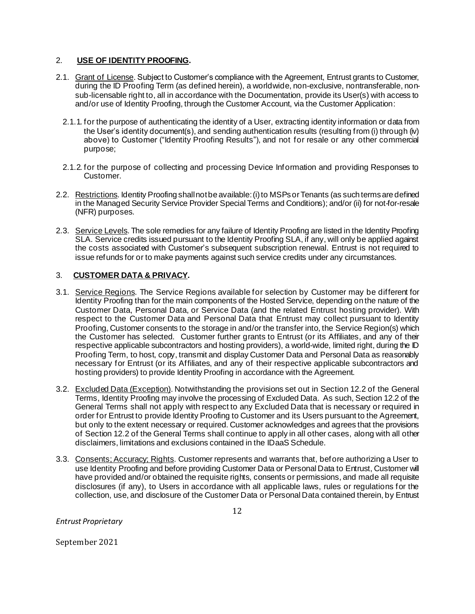### 2. **USE OF IDENTITY PROOFING.**

- 2.1. Grant of License. Subject to Customer's compliance with the Agreement, Entrust grants to Customer, during the ID Proofing Term (as defined herein), a worldwide, non-exclusive, nontransferable, nonsub-licensable right to, all in accordance with the Documentation, provide its User(s) with access to and/or use of Identity Proofing, through the Customer Account, via the Customer Application:
	- 2.1.1. for the purpose of authenticating the identity of a User, extracting identity information or data from the User's identity document(s), and sending authentication results (resulting from (i) through (iv) above) to Customer ("Identity Proofing Results"), and not for resale or any other commercial purpose;
	- 2.1.2. for the purpose of collecting and processing Device Information and providing Responses to Customer.
- 2.2. Restrictions. Identity Proofing shall not be available: (i) to MSPs or Tenants (as such terms are defined in the Managed Security Service Provider Special Terms and Conditions); and/or (ii) for not-for-resale (NFR) purposes.
- 2.3. Service Levels. The sole remedies for any failure of Identity Proofing are listed in the Identity Proofing SLA. Service credits issued pursuant to the Identity Proofing SLA, if any, will only be applied against the costs associated with Customer's subsequent subscription renewal. Entrust is not required to issue refunds for or to make payments against such service credits under any circumstances.

## 3. **CUSTOMER DATA & PRIVACY.**

- 3.1. Service Regions. The Service Regions available for selection by Customer may be different for Identity Proofing than for the main components of the Hosted Service, depending on the nature of the Customer Data, Personal Data, or Service Data (and the related Entrust hosting provider). With respect to the Customer Data and Personal Data that Entrust may collect pursuant to Identity Proofing, Customer consents to the storage in and/or the transfer into, the Service Region(s) which the Customer has selected. Customer further grants to Entrust (or its Affiliates, and any of their respective applicable subcontractors and hosting providers), a world-wide, limited right, during the ID Proofing Term, to host, copy, transmit and display Customer Data and Personal Data as reasonably necessary for Entrust (or its Affiliates, and any of their respective applicable subcontractors and hosting providers) to provide Identity Proofing in accordance with the Agreement.
- 3.2. Excluded Data (Exception). Notwithstanding the provisions set out in Section 12.2 of the General Terms, Identity Proofing may involve the processing of Excluded Data. As such, Section 12.2 of the General Terms shall not apply with respect to any Excluded Data that is necessary or required in order for Entrust to provide Identity Proofing to Customer and its Users pursuant to the Agreement, but only to the extent necessary or required. Customer acknowledges and agrees that the provisions of Section 12.2 of the General Terms shall continue to apply in all other cases, along with all other disclaimers, limitations and exclusions contained in the IDaaS Schedule.
- 3.3. Consents; Accuracy; Rights. Customer represents and warrants that, before authorizing a User to use Identity Proofing and before providing Customer Data or Personal Data to Entrust, Customer will have provided and/or obtained the requisite rights, consents or permissions, and made all requisite disclosures (if any), to Users in accordance with all applicable laws, rules or regulations for the collection, use, and disclosure of the Customer Data or Personal Data contained therein, by Entrust

*Entrust Proprietary*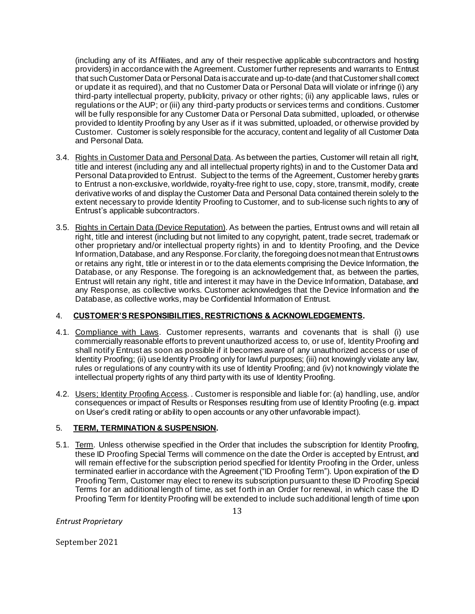(including any of its Affiliates, and any of their respective applicable subcontractors and hosting providers) in accordance with the Agreement. Customer further represents and warrants to Entrust that such Customer Data or Personal Data is accurate and up-to-date (and that Customer shall correct or update it as required), and that no Customer Data or Personal Data will violate or infringe (i) any third-party intellectual property, publicity, privacy or other rights; (ii) any applicable laws, rules or regulations or the AUP; or (iii) any third-party products or services terms and conditions. Customer will be fully responsible for any Customer Data or Personal Data submitted, uploaded, or otherwise provided to Identity Proofing by any User as if it was submitted, uploaded, or otherwise provided by Customer. Customer is solely responsible for the accuracy, content and legality of all Customer Data and Personal Data.

- 3.4. Rights in Customer Data and Personal Data. As between the parties, Customer will retain all right, title and interest (including any and all intellectual property rights) in and to the Customer Data and Personal Data provided to Entrust. Subject to the terms of the Agreement, Customer hereby grants to Entrust a non-exclusive, worldwide, royalty-free right to use, copy, store, transmit, modify, create derivative works of and display the Customer Data and Personal Data contained therein solely to the extent necessary to provide Identity Proofing to Customer, and to sub-license such rights to any of Entrust's applicable subcontractors.
- 3.5. Rights in Certain Data (Device Reputation). As between the parties, Entrust owns and will retain all right, title and interest (including but not limited to any copyright, patent, trade secret, trademark or other proprietary and/or intellectual property rights) in and to Identity Proofing, and the Device Information, Database, and any Response.For clarity, the foregoing does not mean that Entrustowns or retains any right, title or interest in or to the data elements comprising the Device Information, the Database, or any Response. The foregoing is an acknowledgement that, as between the parties, Entrust will retain any right, title and interest it may have in the Device Information, Database, and any Response, as collective works. Customer acknowledges that the Device Information and the Database, as collective works, may be Confidential Information of Entrust.

### 4. **CUSTOMER'S RESPONSIBILITIES, RESTRICTIONS & ACKNOWLEDGEMENTS.**

- 4.1. Compliance with Laws. Customer represents, warrants and covenants that is shall (i) use commercially reasonable efforts to prevent unauthorized access to, or use of, Identity Proofing and shall notify Entrust as soon as possible if it becomes aware of any unauthorized access or use of Identity Proofing; (ii) use Identity Proofing only for lawful purposes; (iii) not knowingly violate any law, rules or regulations of any country with its use of Identity Proofing; and (iv) not knowingly violate the intellectual property rights of any third party with its use of Identity Proofing.
- 4.2. Users; Identity Proofing Access. . Customer is responsible and liable for: (a) handling, use, and/or consequences or impact of Results or Responses resulting from use of Identity Proofing (e.g. impact on User's credit rating or ability to open accounts or any other unfavorable impact).

# 5. **TERM, TERMINATION & SUSPENSION.**

5.1. Term. Unless otherwise specified in the Order that includes the subscription for Identity Proofing, these ID Proofing Special Terms will commence on the date the Order is accepted by Entrust, and will remain effective for the subscription period specified for Identity Proofing in the Order, unless terminated earlier in accordance with the Agreement ("ID Proofing Term"). Upon expiration of the ID Proofing Term, Customer may elect to renew its subscription pursuant to these ID Proofing Special Terms for an additional length of time, as set forth in an Order for renewal, in which case the ID Proofing Term for Identity Proofing will be extended to include such additional length of time upon

*Entrust Proprietary*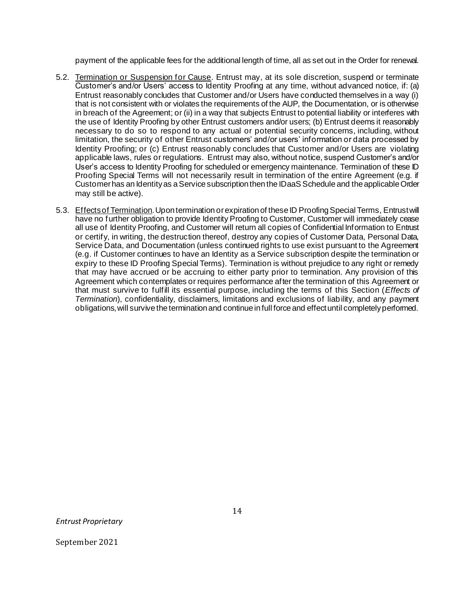payment of the applicable fees for the additional length of time, all as set out in the Order for renewal.

- 5.2. Termination or Suspension for Cause. Entrust may, at its sole discretion, suspend or terminate Customer's and/or Users' access to Identity Proofing at any time, without advanced notice, if: (a) Entrust reasonably concludes that Customer and/or Users have conducted themselves in a way (i) that is not consistent with or violates the requirements of the AUP, the Documentation, or is otherwise in breach of the Agreement; or (ii) in a way that subjects Entrust to potential liability or interferes with the use of Identity Proofing by other Entrust customers and/or users; (b) Entrust deems it reasonably necessary to do so to respond to any actual or potential security concerns, including, without limitation, the security of other Entrust customers' and/or users' information or data processed by Identity Proofing; or (c) Entrust reasonably concludes that Customer and/or Users are violating applicable laws, rules or regulations. Entrust may also, without notice, suspend Customer's and/or User's access to Identity Proofing for scheduled or emergency maintenance. Termination of these ID Proofing Special Terms will not necessarily result in termination of the entire Agreement (e.g. if Customer has an Identity as aService subscription then the IDaaS Schedule and the applicable Order may still be active).
- 5.3. Effects of Termination.Upon termination or expiration of these ID Proofing Special Terms, Entrust will have no further obligation to provide Identity Proofing to Customer, Customer will immediately cease all use of Identity Proofing, and Customer will return all copies of Confidential Information to Entrust or certify, in writing, the destruction thereof, destroy any copies of Customer Data, Personal Data, Service Data, and Documentation (unless continued rights to use exist pursuant to the Agreement (e.g. if Customer continues to have an Identity as a Service subscription despite the termination or expiry to these ID Proofing Special Terms). Termination is without prejudice to any right or remedy that may have accrued or be accruing to either party prior to termination. Any provision of this Agreement which contemplates or requires performance after the termination of this Agreement or that must survive to fulfill its essential purpose, including the terms of this Section (*Effects of Termination*), confidentiality, disclaimers, limitations and exclusions of liability, and any payment obligations, will survive the termination and continue in full force and effect until completely performed.

*Entrust Proprietary*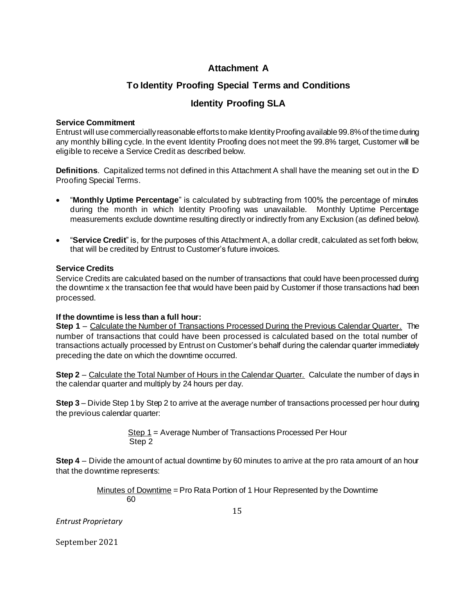# **Attachment A**

# **To Identity Proofing Special Terms and Conditions**

# **Identity Proofing SLA**

### **Service Commitment**

Entrust will use commercially reasonable efforts to make Identity Proofing available 99.8% of the time during any monthly billing cycle. In the event Identity Proofing does not meet the 99.8% target, Customer will be eligible to receive a Service Credit as described below.

**Definitions**. Capitalized terms not defined in this Attachment A shall have the meaning set out in the ID Proofing Special Terms.

- "**Monthly Uptime Percentage**" is calculated by subtracting from 100% the percentage of minutes during the month in which Identity Proofing was unavailable. Monthly Uptime Percentage measurements exclude downtime resulting directly or indirectly from any Exclusion (as defined below).
- "**Service Credit**" is, for the purposes of this Attachment A, a dollar credit, calculated as set forth below, that will be credited by Entrust to Customer's future invoices.

## **Service Credits**

Service Credits are calculated based on the number of transactions that could have been processed during the downtime x the transaction fee that would have been paid by Customer if those transactions had been processed.

### **If the downtime is less than a full hour:**

**Step 1** – Calculate the Number of Transactions Processed During the Previous Calendar Quarter. The number of transactions that could have been processed is calculated based on the total number of transactions actually processed by Entrust on Customer's behalf during the calendar quarter immediately preceding the date on which the downtime occurred.

**Step 2** – Calculate the Total Number of Hours in the Calendar Quarter. Calculate the number of days in the calendar quarter and multiply by 24 hours per day.

**Step 3** – Divide Step 1 by Step 2 to arrive at the average number of transactions processed per hour during the previous calendar quarter:

> Step 1 = Average Number of Transactions Processed Per Hour Step 2

**Step 4** – Divide the amount of actual downtime by 60 minutes to arrive at the pro rata amount of an hour that the downtime represents:

> Minutes of Downtime = Pro Rata Portion of 1 Hour Represented by the Downtime 60

> > 15

*Entrust Proprietary*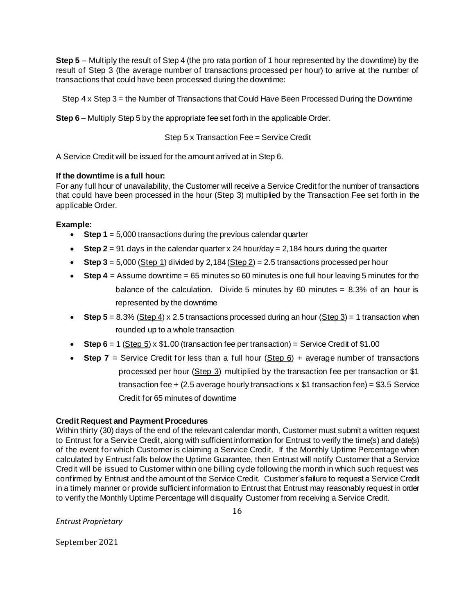**Step 5** – Multiply the result of Step 4 (the pro rata portion of 1 hour represented by the downtime) by the result of Step 3 (the average number of transactions processed per hour) to arrive at the number of transactions that could have been processed during the downtime:

Step 4 x Step 3 = the Number of Transactions that Could Have Been Processed During the Downtime

**Step 6** – Multiply Step 5 by the appropriate fee set forth in the applicable Order.

Step 5 x Transaction Fee = Service Credit

A Service Credit will be issued for the amount arrived at in Step 6.

### **If the downtime is a full hour:**

For any full hour of unavailability, the Customer will receive a Service Credit for the number of transactions that could have been processed in the hour (Step 3) multiplied by the Transaction Fee set forth in the applicable Order.

## **Example:**

- **Step 1** = 5,000 transactions during the previous calendar quarter
- **Step 2** = 91 days in the calendar quarter x 24 hour/day = 2,184 hours during the quarter
- **Step 3** =  $5,000$  (Step 1) divided by 2,184 (Step 2) =  $2.5$  transactions processed per hour
- **Step 4** = Assume downtime = 65 minutes so 60 minutes is one full hour leaving 5 minutes for the balance of the calculation. Divide 5 minutes by 60 minutes =  $8.3\%$  of an hour is represented by the downtime
- **Step 5** = 8.3% (Step 4) x 2.5 transactions processed during an hour (Step 3) = 1 transaction when rounded up to a whole transaction
- **Step 6** = 1 (Step  $5$ ) x  $$1.00$  (transaction fee per transaction) = Service Credit of  $$1.00$
- **Step 7** = Service Credit for less than a full hour (Step 6) + average number of transactions processed per hour (Step 3) multiplied by the transaction fee per transaction or \$1 transaction fee  $+$  (2.5 average hourly transactions  $\times$  \$1 transaction fee) = \$3.5 Service Credit for 65 minutes of downtime

### **Credit Request and Payment Procedures**

Within thirty (30) days of the end of the relevant calendar month, Customer must submit a written request to Entrust for a Service Credit, along with sufficient information for Entrust to verify the time(s) and date(s) of the event for which Customer is claiming a Service Credit. If the Monthly Uptime Percentage when calculated by Entrust falls below the Uptime Guarantee, then Entrust will notify Customer that a Service Credit will be issued to Customer within one billing cycle following the month in which such request was confirmed by Entrust and the amount of the Service Credit. Customer's failure to request a Service Credit in a timely manner or provide sufficient information to Entrust that Entrust may reasonably request in order to verify the Monthly Uptime Percentage will disqualify Customer from receiving a Service Credit.

*Entrust Proprietary*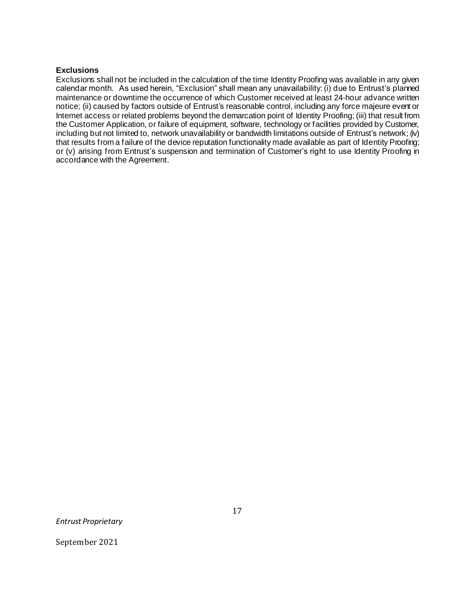#### **Exclusions**

Exclusions shall not be included in the calculation of the time Identity Proofing was available in any given calendar month. As used herein, "Exclusion" shall mean any unavailability: (i) due to Entrust's planned maintenance or downtime the occurrence of which Customer received at least 24-hour advance written notice; (ii) caused by factors outside of Entrust's reasonable control, including any force majeure event or Internet access or related problems beyond the demarcation point of Identity Proofing; (iii) that result from the Customer Application, or failure of equipment, software, technology or facilities provided by Customer, including but not limited to, network unavailability or bandwidth limitations outside of Entrust's network; (iv) that results from a failure of the device reputation functionality made available as part of Identity Proofing; or (v) arising from Entrust's suspension and termination of Customer's right to use Identity Proofing in accordance with the Agreement.

*Entrust Proprietary*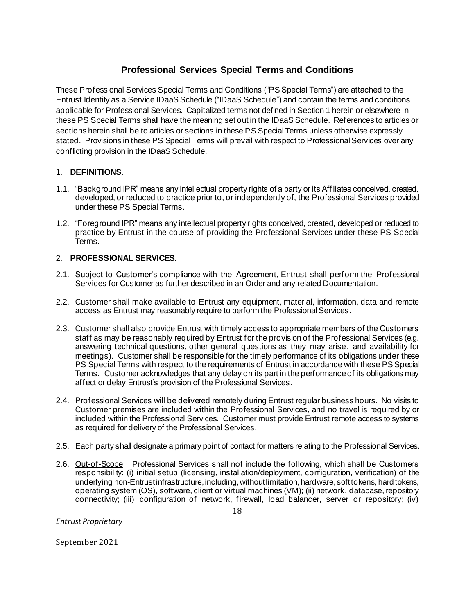# **Professional Services Special Terms and Conditions**

These Professional Services Special Terms and Conditions ("PS Special Terms") are attached to the Entrust Identity as a Service IDaaS Schedule ("IDaaS Schedule") and contain the terms and conditions applicable for Professional Services. Capitalized terms not defined in Section 1 herein or elsewhere in these PS Special Terms shall have the meaning set out in the IDaaS Schedule. References to articles or sections herein shall be to articles or sections in these PS Special Terms unless otherwise expressly stated. Provisions in these PS Special Terms will prevail with respect to Professional Services over any conflicting provision in the IDaaS Schedule.

# 1. **DEFINITIONS.**

- 1.1. "Background IPR" means any intellectual property rights of a party or its Affiliates conceived, created, developed, or reduced to practice prior to, or independently of, the Professional Services provided under these PS Special Terms.
- 1.2. "Foreground IPR" means any intellectual property rights conceived, created, developed or reduced to practice by Entrust in the course of providing the Professional Services under these PS Special Terms.

## 2. **PROFESSIONAL SERVICES.**

- 2.1. Subject to Customer's compliance with the Agreement, Entrust shall perform the Professional Services for Customer as further described in an Order and any related Documentation.
- 2.2. Customer shall make available to Entrust any equipment, material, information, data and remote access as Entrust may reasonably require to perform the Professional Services.
- 2.3. Customer shall also provide Entrust with timely access to appropriate members of the Customer's staff as may be reasonably required by Entrust for the provision of the Professional Services (e.g. answering technical questions, other general questions as they may arise, and availability for meetings). Customer shall be responsible for the timely performance of its obligations under these PS Special Terms with respect to the requirements of Entrust in accordance with these PS Special Terms. Customer acknowledges that any delay on its part in the performance of its obligations may affect or delay Entrust's provision of the Professional Services.
- 2.4. Professional Services will be delivered remotely during Entrust regular business hours. No visits to Customer premises are included within the Professional Services, and no travel is required by or included within the Professional Services. Customer must provide Entrust remote access to systems as required for delivery of the Professional Services.
- 2.5. Each party shall designate a primary point of contact for matters relating to the Professional Services.
- 2.6. Out-of-Scope. Professional Services shall not include the following, which shall be Customer's responsibility: (i) initial setup (licensing, installation/deployment, configuration, verification) of the underlying non-Entrust infrastructure, including, without limitation, hardware, soft tokens, hard tokens, operating system (OS), software, client or virtual machines (VM); (ii) network, database, repository connectivity; (iii) configuration of network, firewall, load balancer, server or repository; (iv)

*Entrust Proprietary*